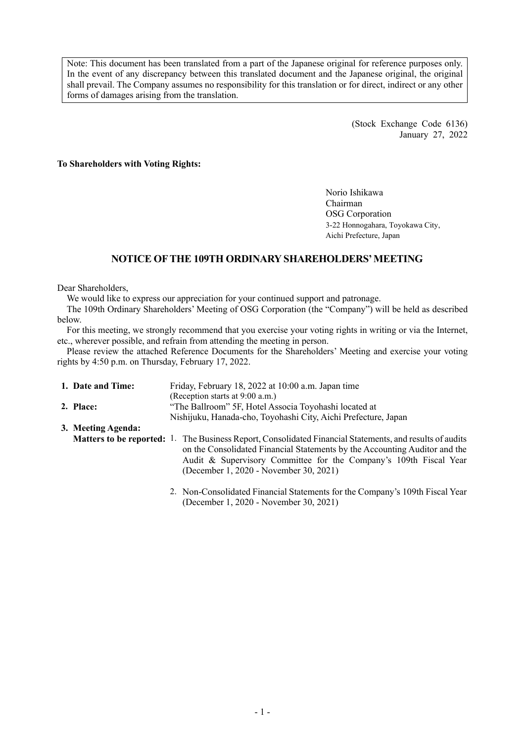Note: This document has been translated from a part of the Japanese original for reference purposes only. In the event of any discrepancy between this translated document and the Japanese original, the original shall prevail. The Company assumes no responsibility for this translation or for direct, indirect or any other forms of damages arising from the translation.

> (Stock Exchange Code 6136) January 27, 2022

#### **To Shareholders with Voting Rights:**

Norio Ishikawa Chairman OSG Corporation 3-22 Honnogahara, Toyokawa City, Aichi Prefecture, Japan

## **NOTICE OF THE 109TH ORDINARY SHAREHOLDERS'MEETING**

Dear Shareholders,

We would like to express our appreciation for your continued support and patronage.

The 109th Ordinary Shareholders' Meeting of OSG Corporation (the "Company") will be held as described below.

For this meeting, we strongly recommend that you exercise your voting rights in writing or via the Internet, etc., wherever possible, and refrain from attending the meeting in person.

Please review the attached Reference Documents for the Shareholders' Meeting and exercise your voting rights by 4:50 p.m. on Thursday, February 17, 2022.

| 1. Date and Time:  | Friday, February 18, 2022 at 10:00 a.m. Japan time                                                                                                                                                                                                                                                           |
|--------------------|--------------------------------------------------------------------------------------------------------------------------------------------------------------------------------------------------------------------------------------------------------------------------------------------------------------|
|                    | (Reception starts at 9:00 a.m.)                                                                                                                                                                                                                                                                              |
| 2. Place:          | "The Ballroom" 5F, Hotel Associa Toyohashi located at                                                                                                                                                                                                                                                        |
|                    | Nishijuku, Hanada-cho, Toyohashi City, Aichi Prefecture, Japan                                                                                                                                                                                                                                               |
| 3. Meeting Agenda: |                                                                                                                                                                                                                                                                                                              |
|                    | <b>Matters to be reported:</b> 1. The Business Report, Consolidated Financial Statements, and results of audits<br>on the Consolidated Financial Statements by the Accounting Auditor and the<br>Audit & Supervisory Committee for the Company's 109th Fiscal Year<br>(December 1, 2020 - November 30, 2021) |
|                    | 2. Non-Consolidated Financial Statements for the Company's 109th Fiscal Year                                                                                                                                                                                                                                 |

2. Non-Consolidated Financial Statements for the Company's 109th Fiscal Year (December 1, 2020 - November 30, 2021)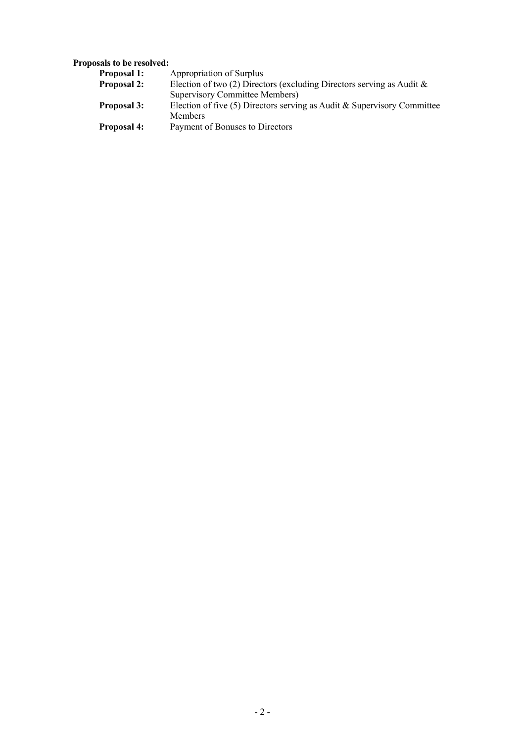## **Proposals to be resolved:**

| <b>Proposal 1:</b> | Appropriation of Surplus                                                  |
|--------------------|---------------------------------------------------------------------------|
| <b>Proposal 2:</b> | Election of two (2) Directors (excluding Directors serving as Audit $\&$  |
|                    | <b>Supervisory Committee Members)</b>                                     |
| <b>Proposal 3:</b> | Election of five $(5)$ Directors serving as Audit & Supervisory Committee |
|                    | <b>Members</b>                                                            |
| <b>Proposal 4:</b> | Payment of Bonuses to Directors                                           |
|                    |                                                                           |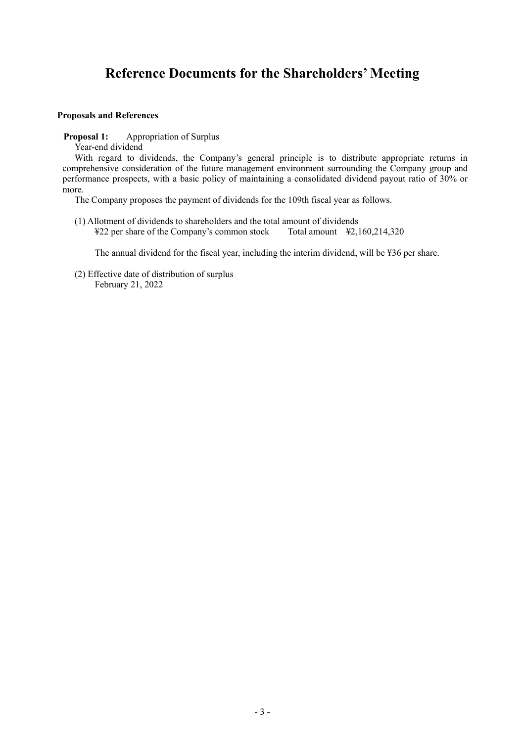# **Reference Documents for the Shareholders' Meeting**

#### **Proposals and References**

**Proposal 1:** Appropriation of Surplus

Year-end dividend

With regard to dividends, the Company's general principle is to distribute appropriate returns in comprehensive consideration of the future management environment surrounding the Company group and performance prospects, with a basic policy of maintaining a consolidated dividend payout ratio of 30% or more.

The Company proposes the payment of dividends for the 109th fiscal year as follows.

(1) Allotment of dividends to shareholders and the total amount of dividends<br>  $\text{\textsterling}22$  per share of the Company's common stock Total amount  $\text{\textsterling}2,160,214,320$ ¥22 per share of the Company's common stock

The annual dividend for the fiscal year, including the interim dividend, will be ¥36 per share.

(2) Effective date of distribution of surplus February 21, 2022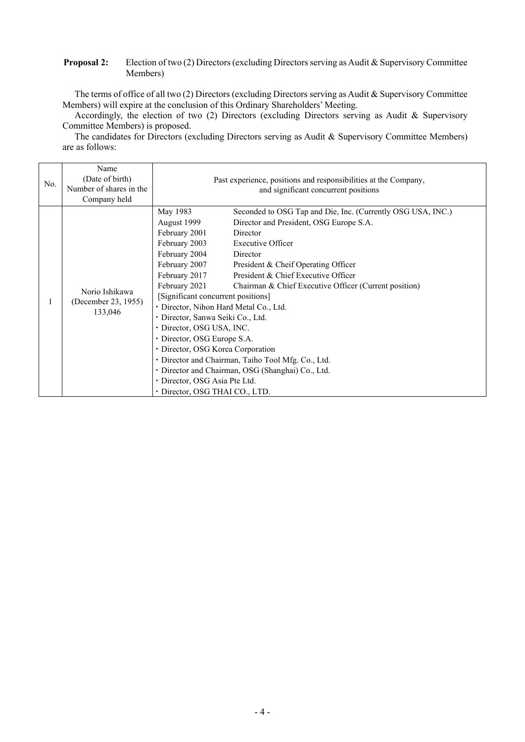#### **Proposal 2:** Election of two (2) Directors (excluding Directors serving as Audit & Supervisory Committee Members)

The terms of office of all two (2) Directors (excluding Directors serving as Audit & Supervisory Committee Members) will expire at the conclusion of this Ordinary Shareholders' Meeting.

Accordingly, the election of two (2) Directors (excluding Directors serving as Audit & Supervisory Committee Members) is proposed.

The candidates for Directors (excluding Directors serving as Audit & Supervisory Committee Members) are as follows:

|     | Name                                             |                                                    |                                                                 |  |  |  |  |  |  |
|-----|--------------------------------------------------|----------------------------------------------------|-----------------------------------------------------------------|--|--|--|--|--|--|
| No. | (Date of birth)                                  |                                                    | Past experience, positions and responsibilities at the Company, |  |  |  |  |  |  |
|     | Number of shares in the                          | and significant concurrent positions               |                                                                 |  |  |  |  |  |  |
|     | Company held                                     |                                                    |                                                                 |  |  |  |  |  |  |
|     |                                                  | May 1983                                           | Seconded to OSG Tap and Die, Inc. (Currently OSG USA, INC.)     |  |  |  |  |  |  |
|     |                                                  | August 1999                                        | Director and President, OSG Europe S.A.                         |  |  |  |  |  |  |
|     |                                                  | February 2001                                      | Director                                                        |  |  |  |  |  |  |
|     | Norio Ishikawa<br>(December 23, 1955)<br>133,046 | February 2003                                      | <b>Executive Officer</b>                                        |  |  |  |  |  |  |
|     |                                                  | February 2004                                      | Director                                                        |  |  |  |  |  |  |
|     |                                                  | February 2007                                      | President & Cheif Operating Officer                             |  |  |  |  |  |  |
|     |                                                  | February 2017                                      | President & Chief Executive Officer                             |  |  |  |  |  |  |
|     |                                                  | February 2021                                      | Chairman & Chief Executive Officer (Current position)           |  |  |  |  |  |  |
|     |                                                  | [Significant concurrent positions]                 |                                                                 |  |  |  |  |  |  |
| 1   |                                                  | · Director, Nihon Hard Metal Co., Ltd.             |                                                                 |  |  |  |  |  |  |
|     |                                                  | · Director, Sanwa Seiki Co., Ltd.                  |                                                                 |  |  |  |  |  |  |
|     |                                                  | · Director, OSG USA, INC.                          |                                                                 |  |  |  |  |  |  |
|     |                                                  | • Director, OSG Europe S.A.                        |                                                                 |  |  |  |  |  |  |
|     |                                                  | • Director, OSG Korea Corporation                  |                                                                 |  |  |  |  |  |  |
|     |                                                  | · Director and Chairman, Taiho Tool Mfg. Co., Ltd. |                                                                 |  |  |  |  |  |  |
|     |                                                  | · Director and Chairman, OSG (Shanghai) Co., Ltd.  |                                                                 |  |  |  |  |  |  |
|     |                                                  | · Director, OSG Asia Pte Ltd.                      |                                                                 |  |  |  |  |  |  |
|     |                                                  | · Director, OSG THAI CO., LTD.                     |                                                                 |  |  |  |  |  |  |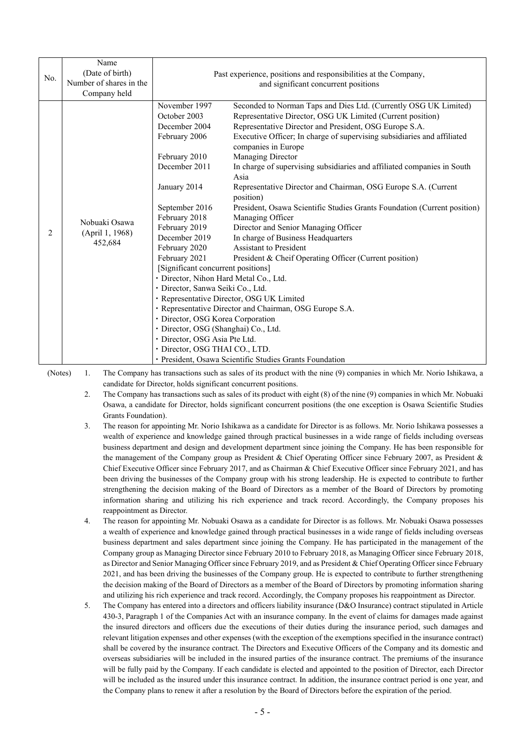| No. | Name<br>(Date of birth)<br>Number of shares in the<br>Company held | Past experience, positions and responsibilities at the Company,<br>and significant concurrent positions                                                                                                                                                                                                                                                                                                                                                                                       |                                                                                                                                                                                                                                                                                                                                                                                                                                                                                                                                                                                                                                                                                                                                                                                                                                                                                                                               |  |  |  |  |  |  |
|-----|--------------------------------------------------------------------|-----------------------------------------------------------------------------------------------------------------------------------------------------------------------------------------------------------------------------------------------------------------------------------------------------------------------------------------------------------------------------------------------------------------------------------------------------------------------------------------------|-------------------------------------------------------------------------------------------------------------------------------------------------------------------------------------------------------------------------------------------------------------------------------------------------------------------------------------------------------------------------------------------------------------------------------------------------------------------------------------------------------------------------------------------------------------------------------------------------------------------------------------------------------------------------------------------------------------------------------------------------------------------------------------------------------------------------------------------------------------------------------------------------------------------------------|--|--|--|--|--|--|
| 2   | Nobuaki Osawa<br>(April 1, 1968)<br>452,684                        | November 1997<br>October 2003<br>December 2004<br>February 2006<br>February 2010<br>December 2011<br>January 2014<br>September 2016<br>February 2018<br>February 2019<br>December 2019<br>February 2020<br>February 2021<br>[Significant concurrent positions]<br>· Director, Nihon Hard Metal Co., Ltd.<br>· Director, Sanwa Seiki Co., Ltd.<br>· Director, OSG Korea Corporation<br>· Director, OSG (Shanghai) Co., Ltd.<br>· Director, OSG Asia Pte Ltd.<br>· Director, OSG THAI CO., LTD. | Seconded to Norman Taps and Dies Ltd. (Currently OSG UK Limited)<br>Representative Director, OSG UK Limited (Current position)<br>Representative Director and President, OSG Europe S.A.<br>Executive Officer; In charge of supervising subsidiaries and affiliated<br>companies in Europe<br>Managing Director<br>In charge of supervising subsidiaries and affiliated companies in South<br>Asia<br>Representative Director and Chairman, OSG Europe S.A. (Current<br>position)<br>President, Osawa Scientific Studies Grants Foundation (Current position)<br>Managing Officer<br>Director and Senior Managing Officer<br>In charge of Business Headquarters<br><b>Assistant to President</b><br>President & Cheif Operating Officer (Current position)<br>· Representative Director, OSG UK Limited<br>· Representative Director and Chairman, OSG Europe S.A.<br>· President, Osawa Scientific Studies Grants Foundation |  |  |  |  |  |  |

(Notes) 1. The Company has transactions such as sales of its product with the nine (9) companies in which Mr. Norio Ishikawa, a candidate for Director, holds significant concurrent positions.

- 2. The Company has transactions such as sales of its product with eight (8) of the nine (9) companies in which Mr. Nobuaki Osawa, a candidate for Director, holds significant concurrent positions (the one exception is Osawa Scientific Studies Grants Foundation).
- 3. The reason for appointing Mr. Norio Ishikawa as a candidate for Director is as follows. Mr. Norio Ishikawa possesses a wealth of experience and knowledge gained through practical businesses in a wide range of fields including overseas business department and design and development department since joining the Company. He has been responsible for the management of the Company group as President & Chief Operating Officer since February 2007, as President & Chief Executive Officer since February 2017, and as Chairman & Chief Executive Officer since February 2021, and has been driving the businesses of the Company group with his strong leadership. He is expected to contribute to further strengthening the decision making of the Board of Directors as a member of the Board of Directors by promoting information sharing and utilizing his rich experience and track record. Accordingly, the Company proposes his reappointment as Director.
- 4. The reason for appointing Mr. Nobuaki Osawa as a candidate for Director is as follows. Mr. Nobuaki Osawa possesses a wealth of experience and knowledge gained through practical businesses in a wide range of fields including overseas business department and sales department since joining the Company. He has participated in the management of the Company group as Managing Director since February 2010 to February 2018, as Managing Officer since February 2018, as Director and Senior Managing Officer since February 2019, and as President & Chief Operating Officer since February 2021, and has been driving the businesses of the Company group. He is expected to contribute to further strengthening the decision making of the Board of Directors as a member of the Board of Directors by promoting information sharing and utilizing his rich experience and track record. Accordingly, the Company proposes his reappointment as Director.
- 5. The Company has entered into a directors and officers liability insurance (D&O Insurance) contract stipulated in Article 430-3, Paragraph 1 of the Companies Act with an insurance company. In the event of claims for damages made against the insured directors and officers due the executions of their duties during the insurance period, such damages and relevant litigation expenses and other expenses (with the exception of the exemptions specified in the insurance contract) shall be covered by the insurance contract. The Directors and Executive Officers of the Company and its domestic and overseas subsidiaries will be included in the insured parties of the insurance contract. The premiums of the insurance will be fully paid by the Company. If each candidate is elected and appointed to the position of Director, each Director will be included as the insured under this insurance contract. In addition, the insurance contract period is one year, and the Company plans to renew it after a resolution by the Board of Directors before the expiration of the period.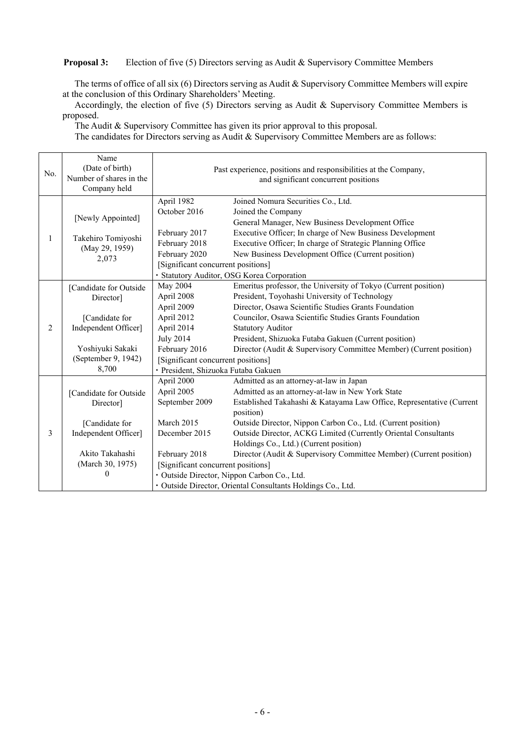#### **Proposal 3:** Election of five (5) Directors serving as Audit & Supervisory Committee Members

The terms of office of all six (6) Directors serving as Audit & Supervisory Committee Members will expire at the conclusion of this Ordinary Shareholders' Meeting.

Accordingly, the election of five (5) Directors serving as Audit & Supervisory Committee Members is proposed.

The Audit & Supervisory Committee has given its prior approval to this proposal.

The candidates for Directors serving as Audit & Supervisory Committee Members are as follows:

| No.         | Name<br>(Date of birth)<br>Number of shares in the<br>Company held |                                                             | Past experience, positions and responsibilities at the Company,<br>and significant concurrent positions |  |  |  |  |  |
|-------------|--------------------------------------------------------------------|-------------------------------------------------------------|---------------------------------------------------------------------------------------------------------|--|--|--|--|--|
|             |                                                                    | April 1982                                                  | Joined Nomura Securities Co., Ltd.                                                                      |  |  |  |  |  |
|             | [Newly Appointed]                                                  | October 2016                                                | Joined the Company                                                                                      |  |  |  |  |  |
|             |                                                                    |                                                             | General Manager, New Business Development Office                                                        |  |  |  |  |  |
| 1<br>2<br>3 | Takehiro Tomiyoshi                                                 | February 2017                                               | Executive Officer; In charge of New Business Development                                                |  |  |  |  |  |
|             | (May 29, 1959)                                                     | February 2018                                               | Executive Officer; In charge of Strategic Planning Office                                               |  |  |  |  |  |
|             | 2,073                                                              | February 2020                                               | New Business Development Office (Current position)                                                      |  |  |  |  |  |
|             |                                                                    | [Significant concurrent positions]                          |                                                                                                         |  |  |  |  |  |
|             |                                                                    |                                                             | · Statutory Auditor, OSG Korea Corporation                                                              |  |  |  |  |  |
|             | [Candidate for Outside                                             | May 2004                                                    | Emeritus professor, the University of Tokyo (Current position)                                          |  |  |  |  |  |
|             | Director]                                                          | April 2008                                                  | President, Toyohashi University of Technology                                                           |  |  |  |  |  |
|             |                                                                    | April 2009                                                  | Director, Osawa Scientific Studies Grants Foundation                                                    |  |  |  |  |  |
|             | [Candidate for                                                     | April 2012                                                  | Councilor, Osawa Scientific Studies Grants Foundation                                                   |  |  |  |  |  |
|             | Independent Officer]                                               | April 2014                                                  | <b>Statutory Auditor</b>                                                                                |  |  |  |  |  |
|             |                                                                    | <b>July 2014</b>                                            | President, Shizuoka Futaba Gakuen (Current position)                                                    |  |  |  |  |  |
|             | Yoshiyuki Sakaki                                                   | February 2016                                               | Director (Audit & Supervisory Committee Member) (Current position)                                      |  |  |  |  |  |
|             | (September 9, 1942)                                                | [Significant concurrent positions]                          |                                                                                                         |  |  |  |  |  |
|             | 8,700                                                              | · President, Shizuoka Futaba Gakuen                         |                                                                                                         |  |  |  |  |  |
|             |                                                                    | April 2000                                                  | Admitted as an attorney-at-law in Japan                                                                 |  |  |  |  |  |
|             | [Candidate for Outside                                             | April 2005                                                  | Admitted as an attorney-at-law in New York State                                                        |  |  |  |  |  |
|             | Director]                                                          | September 2009                                              | Established Takahashi & Katayama Law Office, Representative (Current<br>position)                       |  |  |  |  |  |
|             | March 2015<br>[Candidate for                                       |                                                             | Outside Director, Nippon Carbon Co., Ltd. (Current position)                                            |  |  |  |  |  |
|             | Independent Officer]                                               | December 2015                                               | Outside Director, ACKG Limited (Currently Oriental Consultants                                          |  |  |  |  |  |
|             |                                                                    |                                                             | Holdings Co., Ltd.) (Current position)                                                                  |  |  |  |  |  |
|             | Akito Takahashi                                                    | February 2018                                               | Director (Audit & Supervisory Committee Member) (Current position)                                      |  |  |  |  |  |
|             | (March 30, 1975)                                                   | [Significant concurrent positions]                          |                                                                                                         |  |  |  |  |  |
|             | 0                                                                  | · Outside Director, Nippon Carbon Co., Ltd.                 |                                                                                                         |  |  |  |  |  |
|             |                                                                    | · Outside Director, Oriental Consultants Holdings Co., Ltd. |                                                                                                         |  |  |  |  |  |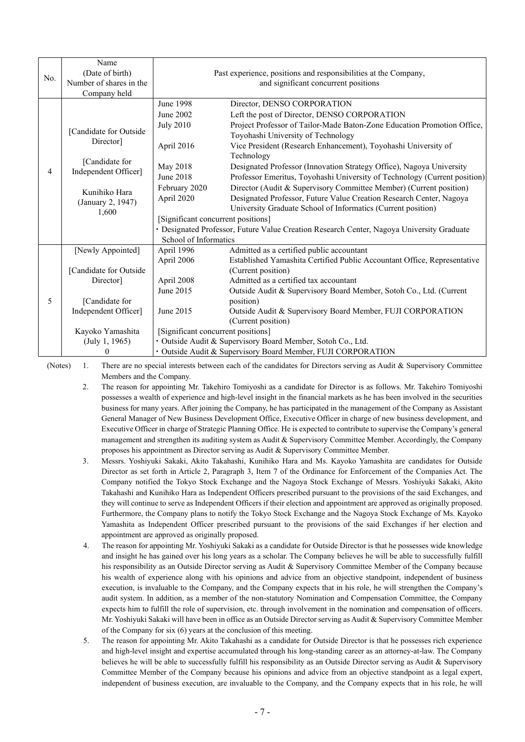| No. | Name<br>(Date of birth)<br>Number of shares in the<br>Company held | Past experience, positions and responsibilities at the Company,<br>and significant concurrent positions |                                                                           |  |  |  |  |  |
|-----|--------------------------------------------------------------------|---------------------------------------------------------------------------------------------------------|---------------------------------------------------------------------------|--|--|--|--|--|
|     |                                                                    | June 1998                                                                                               | Director, DENSO CORPORATION                                               |  |  |  |  |  |
|     |                                                                    | June 2002                                                                                               | Left the post of Director, DENSO CORPORATION                              |  |  |  |  |  |
|     | [Candidate for Outside<br>Director <sup>1</sup>                    | <b>July 2010</b>                                                                                        | Project Professor of Tailor-Made Baton-Zone Education Promotion Office,   |  |  |  |  |  |
|     |                                                                    |                                                                                                         | Toyohashi University of Technology                                        |  |  |  |  |  |
|     |                                                                    | April 2016                                                                                              | Vice President (Research Enhancement), Toyohashi University of            |  |  |  |  |  |
|     |                                                                    |                                                                                                         | Technology                                                                |  |  |  |  |  |
|     | [Candidate for                                                     | May 2018                                                                                                | Designated Professor (Innovation Strategy Office), Nagoya University      |  |  |  |  |  |
| 4   | Independent Officer]                                               | June 2018                                                                                               | Professor Emeritus, Toyohashi University of Technology (Current position) |  |  |  |  |  |
|     | Kunihiko Hara                                                      | February 2020                                                                                           | Director (Audit & Supervisory Committee Member) (Current position)        |  |  |  |  |  |
|     |                                                                    | April 2020                                                                                              | Designated Professor, Future Value Creation Research Center, Nagoya       |  |  |  |  |  |
|     | (January 2, 1947)                                                  |                                                                                                         | University Graduate School of Informatics (Current position)              |  |  |  |  |  |
|     | 1,600                                                              | [Significant concurrent positions]                                                                      |                                                                           |  |  |  |  |  |
|     |                                                                    | · Designated Professor, Future Value Creation Research Center, Nagoya University Graduate               |                                                                           |  |  |  |  |  |
|     |                                                                    | School of Informatics                                                                                   |                                                                           |  |  |  |  |  |
|     | [Newly Appointed]                                                  | April 1996                                                                                              | Admitted as a certified public accountant                                 |  |  |  |  |  |
|     |                                                                    | April 2006                                                                                              | Established Yamashita Certified Public Accountant Office, Representative  |  |  |  |  |  |
|     | [Candidate for Outside                                             |                                                                                                         | (Current position)                                                        |  |  |  |  |  |
|     | Director]                                                          | April 2008                                                                                              | Admitted as a certified tax accountant                                    |  |  |  |  |  |
|     |                                                                    | June 2015                                                                                               | Outside Audit & Supervisory Board Member, Sotoh Co., Ltd. (Current        |  |  |  |  |  |
| 5   | [Candidate for                                                     |                                                                                                         | position)                                                                 |  |  |  |  |  |
|     | Independent Officer]                                               | June 2015                                                                                               | Outside Audit & Supervisory Board Member, FUJI CORPORATION                |  |  |  |  |  |
|     |                                                                    | (Current position)                                                                                      |                                                                           |  |  |  |  |  |
|     | Kayoko Yamashita                                                   | [Significant concurrent positions]                                                                      |                                                                           |  |  |  |  |  |
|     | (July 1, 1965)                                                     | · Outside Audit & Supervisory Board Member, Sotoh Co., Ltd.                                             |                                                                           |  |  |  |  |  |
|     | 0                                                                  | · Outside Audit & Supervisory Board Member, FUJI CORPORATION                                            |                                                                           |  |  |  |  |  |

(Notes) 1. There are no special interests between each of the candidates for Directors serving as Audit & Supervisory Committee Members and the Company.

- 2. The reason for appointing Mr. Takehiro Tomiyoshi as a candidate for Director is as follows. Mr. Takehiro Tomiyoshi possesses a wealth of experience and high-level insight in the financial markets as he has been involved in the securities business for many years. After joining the Company, he has participated in the management of the Company as Assistant General Manager of New Business Development Office, Executive Officer in charge of new business development, and Executive Officer in charge of Strategic Planning Office. He is expected to contribute to supervise the Company's general management and strengthen its auditing system as Audit & Supervisory Committee Member. Accordingly, the Company proposes his appointment as Director serving as Audit & Supervisory Committee Member.
- 3. Messrs. Yoshiyuki Sakaki, Akito Takahashi, Kunihiko Hara and Ms. Kayoko Yamashita are candidates for Outside Director as set forth in Article 2, Paragraph 3, Item 7 of the Ordinance for Enforcement of the Companies Act. The Company notified the Tokyo Stock Exchange and the Nagoya Stock Exchange of Messrs. Yoshiyuki Sakaki, Akito Takahashi and Kunihiko Hara as Independent Officers prescribed pursuant to the provisions of the said Exchanges, and they will continue to serve as Independent Officers if their election and appointment are approved as originally proposed. Furthermore, the Company plans to notify the Tokyo Stock Exchange and the Nagoya Stock Exchange of Ms. Kayoko Yamashita as Independent Officer prescribed pursuant to the provisions of the said Exchanges if her election and appointment are approved as originally proposed.
- 4. The reason for appointing Mr. Yoshiyuki Sakaki as a candidate for Outside Director is that he possesses wide knowledge and insight he has gained over his long years as a scholar. The Company believes he will be able to successfully fulfill his responsibility as an Outside Director serving as Audit & Supervisory Committee Member of the Company because his wealth of experience along with his opinions and advice from an objective standpoint, independent of business execution, is invaluable to the Company, and the Company expects that in his role, he will strengthen the Company's audit system. In addition, as a member of the non-statutory Nomination and Compensation Committee, the Company expects him to fulfill the role of supervision, etc. through involvement in the nomination and compensation of officers. Mr. Yoshiyuki Sakaki will have been in office as an Outside Director serving as Audit & Supervisory Committee Member of the Company for six (6) years at the conclusion of this meeting.
- 5. The reason for appointing Mr. Akito Takahashi as a candidate for Outside Director is that he possesses rich experience and high-level insight and expertise accumulated through his long-standing career as an attorney-at-law. The Company believes he will be able to successfully fulfill his responsibility as an Outside Director serving as Audit & Supervisory Committee Member of the Company because his opinions and advice from an objective standpoint as a legal expert, independent of business execution, are invaluable to the Company, and the Company expects that in his role, he will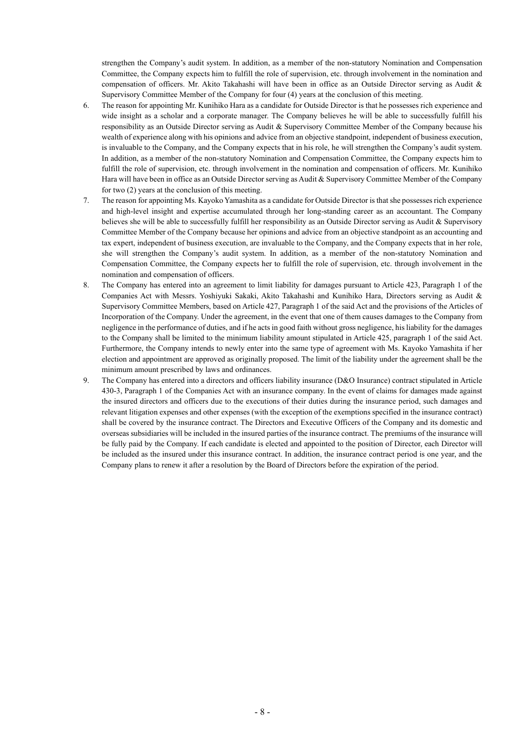strengthen the Company's audit system. In addition, as a member of the non-statutory Nomination and Compensation Committee, the Company expects him to fulfill the role of supervision, etc. through involvement in the nomination and compensation of officers. Mr. Akito Takahashi will have been in office as an Outside Director serving as Audit & Supervisory Committee Member of the Company for four (4) years at the conclusion of this meeting.

- 6. The reason for appointing Mr. Kunihiko Hara as a candidate for Outside Director is that he possesses rich experience and wide insight as a scholar and a corporate manager. The Company believes he will be able to successfully fulfill his responsibility as an Outside Director serving as Audit & Supervisory Committee Member of the Company because his wealth of experience along with his opinions and advice from an objective standpoint, independent of business execution, is invaluable to the Company, and the Company expects that in his role, he will strengthen the Company's audit system. In addition, as a member of the non-statutory Nomination and Compensation Committee, the Company expects him to fulfill the role of supervision, etc. through involvement in the nomination and compensation of officers. Mr. Kunihiko Hara will have been in office as an Outside Director serving as Audit & Supervisory Committee Member of the Company for two (2) years at the conclusion of this meeting.
- 7. The reason for appointing Ms. Kayoko Yamashita as a candidate for Outside Director is that she possesses rich experience and high-level insight and expertise accumulated through her long-standing career as an accountant. The Company believes she will be able to successfully fulfill her responsibility as an Outside Director serving as Audit & Supervisory Committee Member of the Company because her opinions and advice from an objective standpoint as an accounting and tax expert, independent of business execution, are invaluable to the Company, and the Company expects that in her role, she will strengthen the Company's audit system. In addition, as a member of the non-statutory Nomination and Compensation Committee, the Company expects her to fulfill the role of supervision, etc. through involvement in the nomination and compensation of officers.
- 8. The Company has entered into an agreement to limit liability for damages pursuant to Article 423, Paragraph 1 of the Companies Act with Messrs. Yoshiyuki Sakaki, Akito Takahashi and Kunihiko Hara, Directors serving as Audit & Supervisory Committee Members, based on Article 427, Paragraph 1 of the said Act and the provisions of the Articles of Incorporation of the Company. Under the agreement, in the event that one of them causes damages to the Company from negligence in the performance of duties, and if he acts in good faith without gross negligence, his liability for the damages to the Company shall be limited to the minimum liability amount stipulated in Article 425, paragraph 1 of the said Act. Furthermore, the Company intends to newly enter into the same type of agreement with Ms. Kayoko Yamashita if her election and appointment are approved as originally proposed. The limit of the liability under the agreement shall be the minimum amount prescribed by laws and ordinances.
- 9. The Company has entered into a directors and officers liability insurance (D&O Insurance) contract stipulated in Article 430-3, Paragraph 1 of the Companies Act with an insurance company. In the event of claims for damages made against the insured directors and officers due to the executions of their duties during the insurance period, such damages and relevant litigation expenses and other expenses (with the exception of the exemptions specified in the insurance contract) shall be covered by the insurance contract. The Directors and Executive Officers of the Company and its domestic and overseas subsidiaries will be included in the insured parties of the insurance contract. The premiums of the insurance will be fully paid by the Company. If each candidate is elected and appointed to the position of Director, each Director will be included as the insured under this insurance contract. In addition, the insurance contract period is one year, and the Company plans to renew it after a resolution by the Board of Directors before the expiration of the period.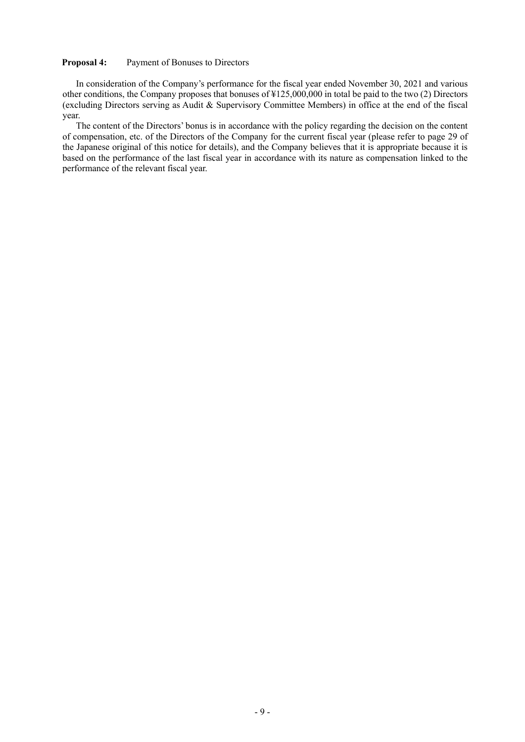#### **Proposal 4:** Payment of Bonuses to Directors

In consideration of the Company's performance for the fiscal year ended November 30, 2021 and various other conditions, the Company proposes that bonuses of ¥125,000,000 in total be paid to the two (2) Directors (excluding Directors serving as Audit & Supervisory Committee Members) in office at the end of the fiscal year.

The content of the Directors' bonus is in accordance with the policy regarding the decision on the content of compensation, etc. of the Directors of the Company for the current fiscal year (please refer to page 29 of the Japanese original of this notice for details), and the Company believes that it is appropriate because it is based on the performance of the last fiscal year in accordance with its nature as compensation linked to the performance of the relevant fiscal year.